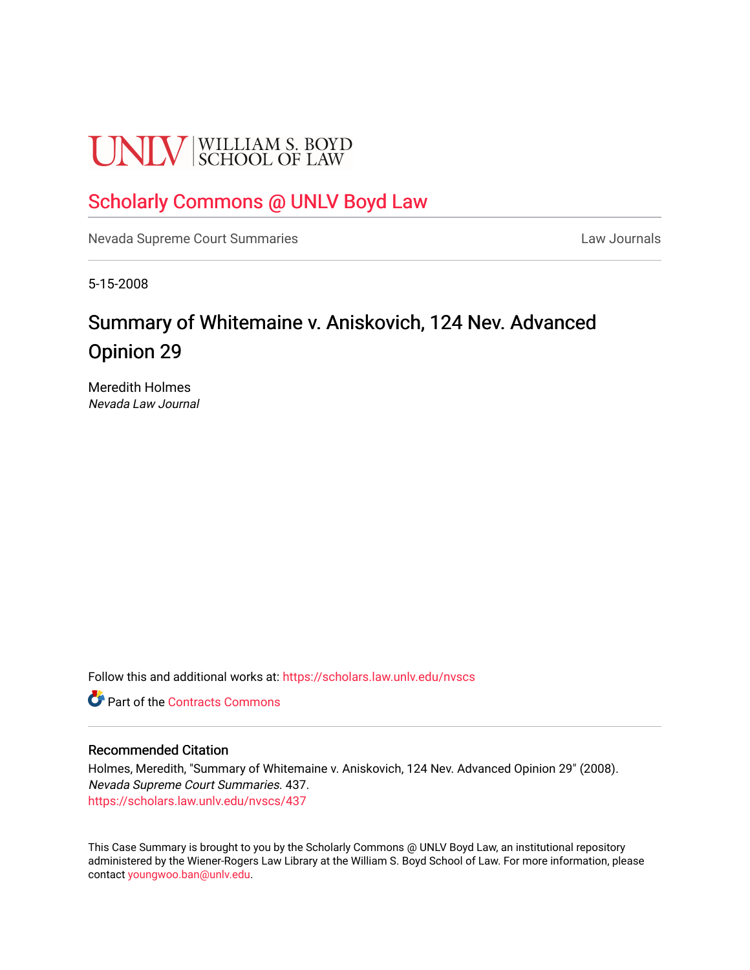# **UNLV** SCHOOL OF LAW

### [Scholarly Commons @ UNLV Boyd Law](https://scholars.law.unlv.edu/)

[Nevada Supreme Court Summaries](https://scholars.law.unlv.edu/nvscs) **Law Journals** Law Journals

5-15-2008

## Summary of Whitemaine v. Aniskovich, 124 Nev. Advanced Opinion 29

Meredith Holmes Nevada Law Journal

Follow this and additional works at: [https://scholars.law.unlv.edu/nvscs](https://scholars.law.unlv.edu/nvscs?utm_source=scholars.law.unlv.edu%2Fnvscs%2F437&utm_medium=PDF&utm_campaign=PDFCoverPages)

**C** Part of the [Contracts Commons](http://network.bepress.com/hgg/discipline/591?utm_source=scholars.law.unlv.edu%2Fnvscs%2F437&utm_medium=PDF&utm_campaign=PDFCoverPages)

#### Recommended Citation

Holmes, Meredith, "Summary of Whitemaine v. Aniskovich, 124 Nev. Advanced Opinion 29" (2008). Nevada Supreme Court Summaries. 437. [https://scholars.law.unlv.edu/nvscs/437](https://scholars.law.unlv.edu/nvscs/437?utm_source=scholars.law.unlv.edu%2Fnvscs%2F437&utm_medium=PDF&utm_campaign=PDFCoverPages)

This Case Summary is brought to you by the Scholarly Commons @ UNLV Boyd Law, an institutional repository administered by the Wiener-Rogers Law Library at the William S. Boyd School of Law. For more information, please contact [youngwoo.ban@unlv.edu](mailto:youngwoo.ban@unlv.edu).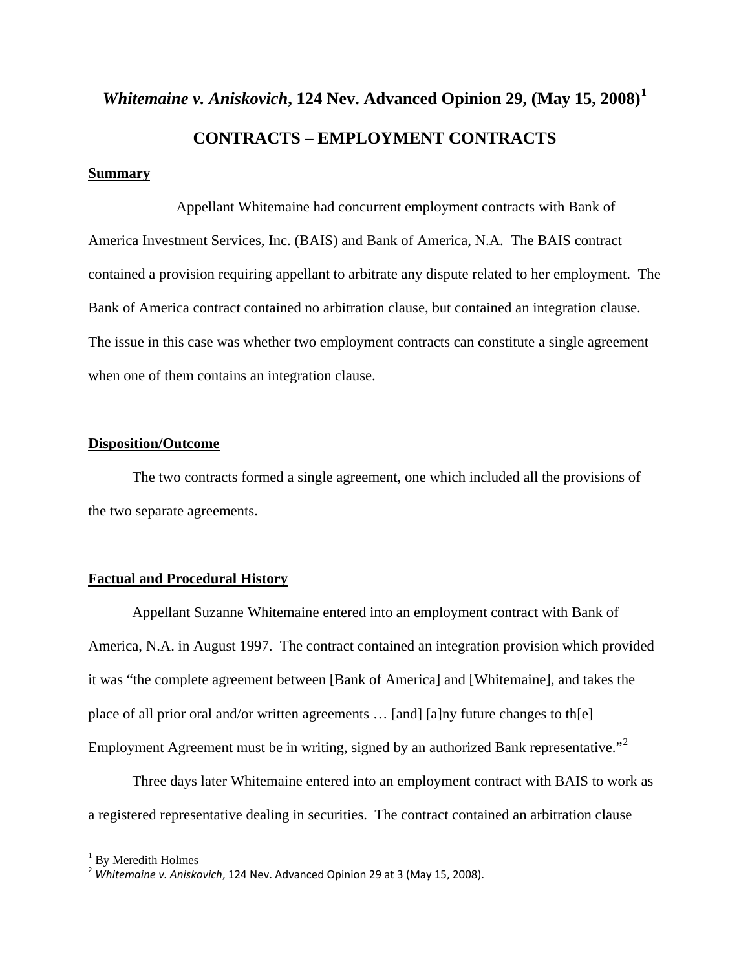## *Whitemaine v. Aniskovich***, 124 Nev. Advanced Opinion 29, (May 15, 2008)[1](#page-1-0) CONTRACTS – EMPLOYMENT CONTRACTS**

#### **Summary**

 Appellant Whitemaine had concurrent employment contracts with Bank of America Investment Services, Inc. (BAIS) and Bank of America, N.A. The BAIS contract contained a provision requiring appellant to arbitrate any dispute related to her employment. The Bank of America contract contained no arbitration clause, but contained an integration clause. The issue in this case was whether two employment contracts can constitute a single agreement when one of them contains an integration clause.

#### **Disposition/Outcome**

 The two contracts formed a single agreement, one which included all the provisions of the two separate agreements.

#### **Factual and Procedural History**

 Appellant Suzanne Whitemaine entered into an employment contract with Bank of America, N.A. in August 1997. The contract contained an integration provision which provided it was "the complete agreement between [Bank of America] and [Whitemaine], and takes the place of all prior oral and/or written agreements … [and] [a]ny future changes to th[e] Employment Agreement must be in writing, signed by an authorized Bank representative."<sup>[2](#page-1-1)</sup>

Three days later Whitemaine entered into an employment contract with BAIS to work as a registered representative dealing in securities. The contract contained an arbitration clause

<sup>&</sup>lt;sup>1</sup> By Meredith Holmes

<span id="page-1-1"></span><span id="page-1-0"></span><sup>2</sup> *Whitemaine v. Aniskovich*, 124 Nev. Advanced Opinion 29 at 3 (May 15, 2008).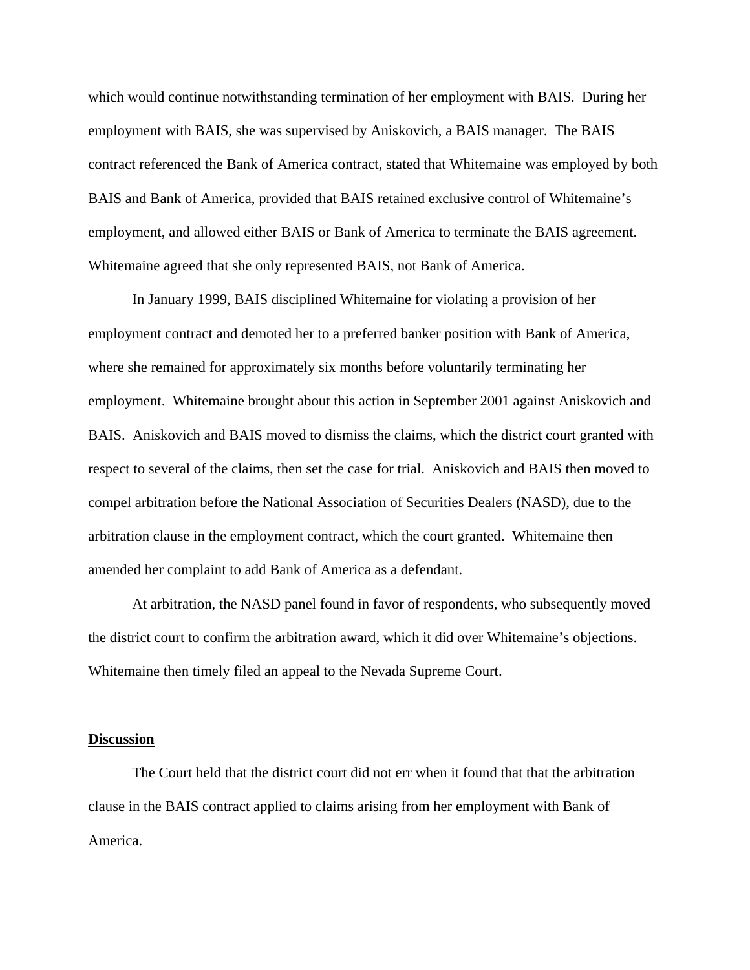which would continue notwithstanding termination of her employment with BAIS. During her employment with BAIS, she was supervised by Aniskovich, a BAIS manager. The BAIS contract referenced the Bank of America contract, stated that Whitemaine was employed by both BAIS and Bank of America, provided that BAIS retained exclusive control of Whitemaine's employment, and allowed either BAIS or Bank of America to terminate the BAIS agreement. Whitemaine agreed that she only represented BAIS, not Bank of America.

In January 1999, BAIS disciplined Whitemaine for violating a provision of her employment contract and demoted her to a preferred banker position with Bank of America, where she remained for approximately six months before voluntarily terminating her employment. Whitemaine brought about this action in September 2001 against Aniskovich and BAIS. Aniskovich and BAIS moved to dismiss the claims, which the district court granted with respect to several of the claims, then set the case for trial. Aniskovich and BAIS then moved to compel arbitration before the National Association of Securities Dealers (NASD), due to the arbitration clause in the employment contract, which the court granted. Whitemaine then amended her complaint to add Bank of America as a defendant.

At arbitration, the NASD panel found in favor of respondents, who subsequently moved the district court to confirm the arbitration award, which it did over Whitemaine's objections. Whitemaine then timely filed an appeal to the Nevada Supreme Court.

#### **Discussion**

 The Court held that the district court did not err when it found that that the arbitration clause in the BAIS contract applied to claims arising from her employment with Bank of America.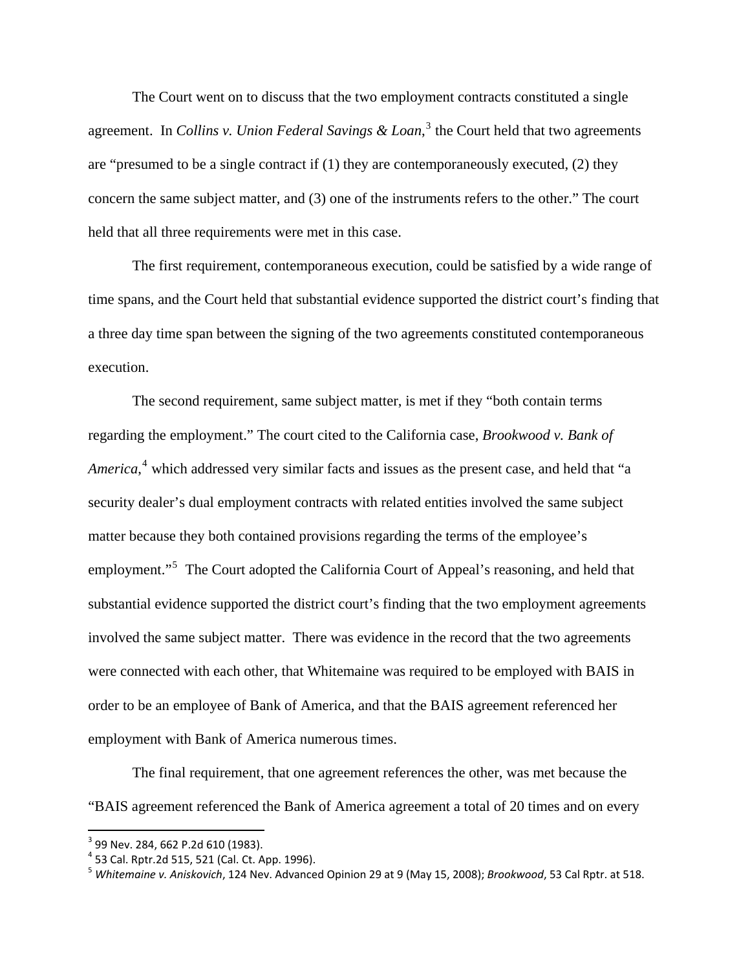The Court went on to discuss that the two employment contracts constituted a single agreement. In *Collins v. Union Federal Savings & Loan*, [3](#page-3-0) the Court held that two agreements are "presumed to be a single contract if (1) they are contemporaneously executed, (2) they concern the same subject matter, and (3) one of the instruments refers to the other." The court held that all three requirements were met in this case.

 The first requirement, contemporaneous execution, could be satisfied by a wide range of time spans, and the Court held that substantial evidence supported the district court's finding that a three day time span between the signing of the two agreements constituted contemporaneous execution.

 The second requirement, same subject matter, is met if they "both contain terms regarding the employment." The court cited to the California case, *Brookwood v. Bank of*  America,<sup>[4](#page-3-1)</sup> which addressed very similar facts and issues as the present case, and held that "a security dealer's dual employment contracts with related entities involved the same subject matter because they both contained provisions regarding the terms of the employee's employment."<sup>[5](#page-3-2)</sup> The Court adopted the California Court of Appeal's reasoning, and held that substantial evidence supported the district court's finding that the two employment agreements involved the same subject matter. There was evidence in the record that the two agreements were connected with each other, that Whitemaine was required to be employed with BAIS in order to be an employee of Bank of America, and that the BAIS agreement referenced her employment with Bank of America numerous times.

 The final requirement, that one agreement references the other, was met because the "BAIS agreement referenced the Bank of America agreement a total of 20 times and on every

<span id="page-3-2"></span><span id="page-3-1"></span>

<span id="page-3-0"></span><sup>&</sup>lt;sup>3</sup> 99 Nev. 284, 662 P.2d 610 (1983).<br><sup>4</sup> 53 Cal. Rptr.2d 515, 521 (Cal. Ct. App. 1996).<br><sup>5</sup> Whitemaine v. Aniskovich, 124 Nev. Advanced Opinion 29 at 9 (May 15, 2008); *Brookwood*, 53 Cal Rptr. at 518.